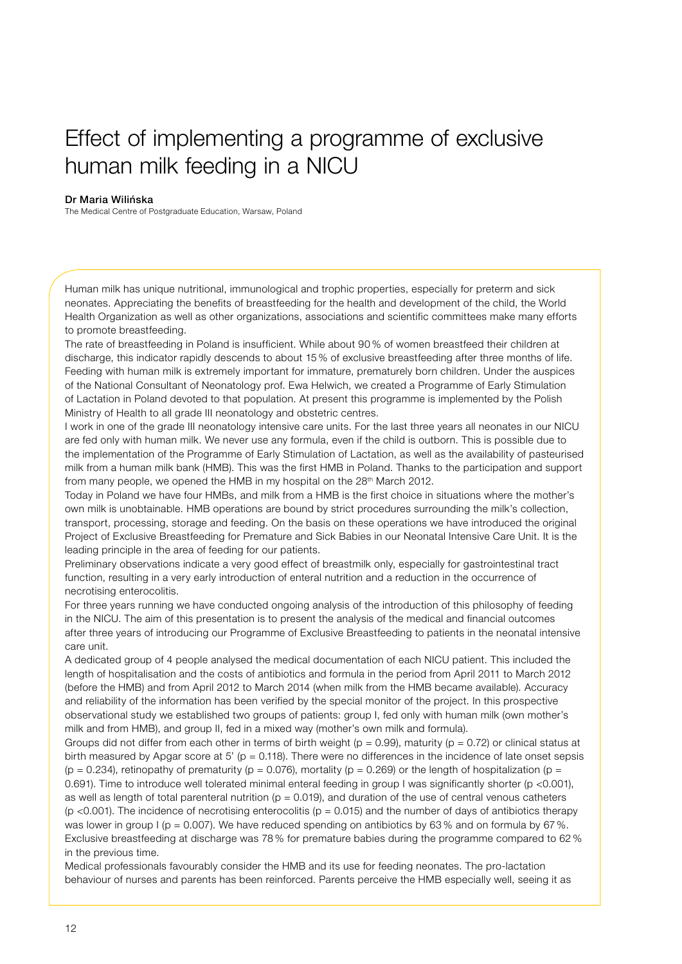## Effect of implementing a programme of exclusive human milk feeding in a NICU

## Dr Maria Wilińska

The Medical Centre of Postgraduate Education, Warsaw, Poland

Human milk has unique nutritional, immunological and trophic properties, especially for preterm and sick neonates. Appreciating the benefits of breastfeeding for the health and development of the child, the World Health Organization as well as other organizations, associations and scientific committees make many efforts to promote breastfeeding.

The rate of breastfeeding in Poland is insufficient. While about 90 % of women breastfeed their children at discharge, this indicator rapidly descends to about 15 % of exclusive breastfeeding after three months of life. Feeding with human milk is extremely important for immature, prematurely born children. Under the auspices of the National Consultant of Neonatology prof. Ewa Helwich, we created a Programme of Early Stimulation of Lactation in Poland devoted to that population. At present this programme is implemented by the Polish Ministry of Health to all grade III neonatology and obstetric centres.

I work in one of the grade III neonatology intensive care units. For the last three years all neonates in our NICU are fed only with human milk. We never use any formula, even if the child is outborn. This is possible due to the implementation of the Programme of Early Stimulation of Lactation, as well as the availability of pasteurised milk from a human milk bank (HMB). This was the first HMB in Poland. Thanks to the participation and support from many people, we opened the HMB in my hospital on the 28<sup>th</sup> March 2012.

Today in Poland we have four HMBs, and milk from a HMB is the first choice in situations where the mother's own milk is unobtainable. HMB operations are bound by strict procedures surrounding the milk's collection, transport, processing, storage and feeding. On the basis on these operations we have introduced the original Project of Exclusive Breastfeeding for Premature and Sick Babies in our Neonatal Intensive Care Unit. It is the leading principle in the area of feeding for our patients.

Preliminary observations indicate a very good effect of breastmilk only, especially for gastrointestinal tract function, resulting in a very early introduction of enteral nutrition and a reduction in the occurrence of necrotising enterocolitis.

For three years running we have conducted ongoing analysis of the introduction of this philosophy of feeding in the NICU. The aim of this presentation is to present the analysis of the medical and financial outcomes after three years of introducing our Programme of Exclusive Breastfeeding to patients in the neonatal intensive care unit.

A dedicated group of 4 people analysed the medical documentation of each NICU patient. This included the length of hospitalisation and the costs of antibiotics and formula in the period from April 2011 to March 2012 (before the HMB) and from April 2012 to March 2014 (when milk from the HMB became available). Accuracy and reliability of the information has been verified by the special monitor of the project. In this prospective observational study we established two groups of patients: group I, fed only with human milk (own mother's milk and from HMB), and group II, fed in a mixed way (mother's own milk and formula).

Groups did not differ from each other in terms of birth weight ( $p = 0.99$ ), maturity ( $p = 0.72$ ) or clinical status at birth measured by Apgar score at 5' ( $p = 0.118$ ). There were no differences in the incidence of late onset sepsis (p = 0.234), retinopathy of prematurity (p = 0.076), mortality (p = 0.269) or the length of hospitalization (p = 0.691). Time to introduce well tolerated minimal enteral feeding in group I was significantly shorter (p <0.001), as well as length of total parenteral nutrition ( $p = 0.019$ ), and duration of the use of central venous catheters ( $p$  <0.001). The incidence of necrotising enterocolitis ( $p = 0.015$ ) and the number of days of antibiotics therapy was lower in group  $I$  (p = 0.007). We have reduced spending on antibiotics by 63% and on formula by 67%. Exclusive breastfeeding at discharge was 78 % for premature babies during the programme compared to 62 % in the previous time.

Medical professionals favourably consider the HMB and its use for feeding neonates. The pro-lactation behaviour of nurses and parents has been reinforced. Parents perceive the HMB especially well, seeing it as